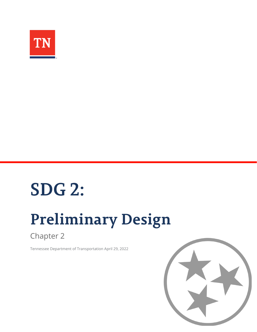

# **SDG 2:**

# **Preliminary Design**

Chapter 2

Tennessee Department of Transportation April 29, 2022

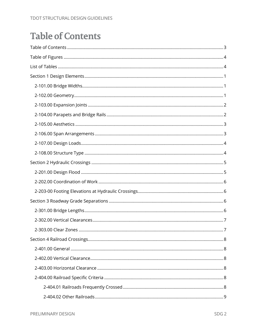# <span id="page-2-0"></span>**Table of Contents**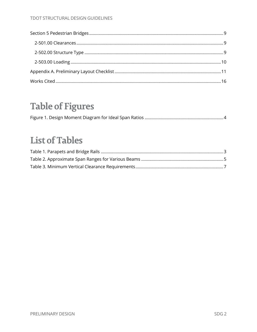# **Table of Figures**

# <span id="page-3-0"></span>**List of Tables**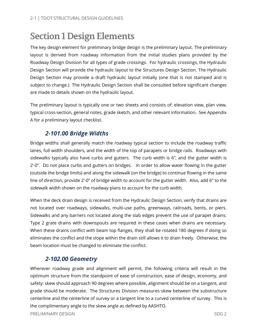# <span id="page-4-0"></span>**Section 1Design Elements**

The key design element for preliminary bridge design is the preliminary layout. The preliminary layout is derived from roadway information from the initial studies plans provided by the Roadway Design Division for all types of grade crossings. For hydraulic crossings, the Hydraulic Design Section will provide the hydraulic layout to the Structures Design Section. The Hydraulic Design Section may provide a draft hydraulic layout initially (one that is not stamped and is subject to change.) The Hydraulic Design Section shall be consulted before significant changes are made to details shown on the hydraulic layout.

The preliminary layout is typically one or two sheets and consists of: elevation view, plan view, typical cross-section, general notes, grade sketch, and other relevant information. See Appendix A for a preliminary layout checklist.

# *2-101.00 Bridge Widths*

<span id="page-4-1"></span>Bridge widths shall generally match the roadway typical section to include the roadway traffic lanes, full width shoulders, and the width of the top of parapets or bridge rails. Roadways with sidewalks typically also have curbs and gutters. The curb width is 6", and the gutter width is 2'-0". Do not place curbs and gutters on bridges. In order to allow water flowing in the gutter (outside the bridge limits) and along the sidewalk (on the bridge) to continue flowing in the same line of direction, provide 2'-0" of bridge width to account for the gutter width. Also, add 6" to the sidewalk width shown on the roadway plans to account for the curb width.

When the deck drain design is received from the Hydraulic Design Section, verify that drains are not located over roadways, sidewalks, multi-use paths, greenways, railroads, bents, or piers. Sidewalks and any barriers not located along the slab edges prevent the use of parapet drains. Type 2 grate drains with downspouts are required in these cases when drains are necessary. When these drains conflict with beam top flanges, they shall be rotated 180 degrees if doing so eliminates the conflict and the slope within the drain still allows it to drain freely. Otherwise, the beam location must be changed to eliminate the conflict.

#### *2-102.00 Geometry*

<span id="page-4-2"></span>Wherever roadway grade and alignment will permit, the following criteria will result in the optimum structure from the standpoint of ease of construction, ease of design, economy, and safety: skew should approach 90 degrees where possible, alignment should be on a tangent, and grade should be moderate. The Structures Division measures skew between the substructure centerline and the centerline of survey or a tangent line to a curved centerline of survey. This is the complimentary angle to the skew angle as defined by AASHTO.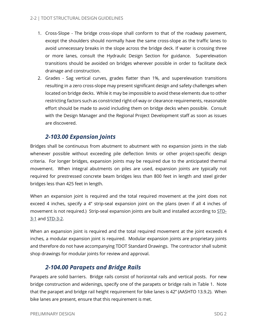- 1. Cross-Slope The bridge cross-slope shall conform to that of the roadway pavement, except the shoulders should normally have the same cross-slope as the traffic lanes to avoid unnecessary breaks in the slope across the bridge deck. If water is crossing three or more lanes, consult the Hydraulic Design Section for guidance. Superelevation transitions should be avoided on bridges wherever possible in order to facilitate deck drainage and construction.
- 2. Grades Sag vertical curves, grades flatter than 1%, and superelevation transitions resulting in a zero cross-slope may present significant design and safety challenges when located on bridge decks. While it may be impossible to avoid these elements due to other restricting factors such as constricted right-of-way or clearance requirements, reasonable effort should be made to avoid including them on bridge decks when possible. Consult with the Design Manager and the Regional Project Development staff as soon as issues are discovered.

# *2-103.00 Expansion Joints*

<span id="page-5-0"></span>Bridges shall be continuous from abutment to abutment with no expansion joints in the slab whenever possible without exceeding pile deflection limits or other project-specific design criteria. For longer bridges, expansion joints may be required due to the anticipated thermal movement. When integral abutments on piles are used, expansion joints are typically not required for prestressed concrete beam bridges less than 800 feet in length and steel girder bridges less than 425 feet in length.

When an expansion joint is required and the total required movement at the joint does not exceed 4 inches, specify a 4" strip-seal expansion joint on the plans (even if all 4 inches of movement is not required.) Strip-seal expansion joints are built and installed according to [STD-](https://www.tn.gov/content/dam/tn/tdot/roadway-design/documents/standard_drawings/structure_standard_drawings/current/new-structures/STD3-1.pdf)[3-1](https://www.tn.gov/content/dam/tn/tdot/roadway-design/documents/standard_drawings/structure_standard_drawings/current/new-structures/STD3-1.pdf) and [STD-3-2.](https://www.tn.gov/content/dam/tn/tdot/roadway-design/documents/standard_drawings/structure_standard_drawings/current/new-structures/STD3-2.pdf)

When an expansion joint is required and the total required movement at the joint exceeds 4 inches, a modular expansion joint is required. Modular expansion joints are proprietary joints and therefore do not have accompanying TDOT Standard Drawings. The contractor shall submit shop drawings for modular joints for review and approval.

### *2-104.00 Parapets and Bridge Rails*

<span id="page-5-1"></span>Parapets are solid barriers. Bridge rails consist of horizontal rails and vertical posts. For new bridge construction and widenings, specify one of the parapets or bridge rails in Table 1. Note that the parapet and bridge rail height requirement for bike lanes is 42" (AASHTO 13.9.2). When bike lanes are present, ensure that this requirement is met.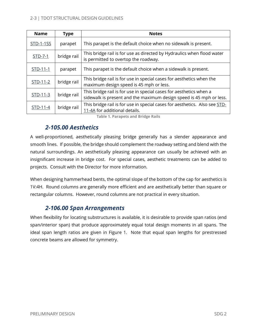| <b>Name</b> | <b>Type</b> | <b>Notes</b>                                                                                                                              |
|-------------|-------------|-------------------------------------------------------------------------------------------------------------------------------------------|
| STD-1-1SS   | parapet     | This parapet is the default choice when no sidewalk is present.                                                                           |
| STD-7-1     | bridge rail | This bridge rail is for use as directed by Hydraulics when flood water<br>is permitted to overtop the roadway.                            |
| STD-11-1    | parapet     | This parapet is the default choice when a sidewalk is present.                                                                            |
| $STD-11-2$  | bridge rail | This bridge rail is for use in special cases for aesthetics when the<br>maximum design speed is 45 mph or less.                           |
| STD-11-3    | bridge rail | This bridge rail is for use in special cases for aesthetics when a<br>sidewalk is present and the maximum design speed is 45 mph or less. |
| STD-11-4    | bridge rail | This bridge rail is for use in special cases for aesthetics. Also see STD-<br>11-4A for additional details.                               |

**Table 1. Parapets and Bridge Rails**

### <span id="page-6-2"></span>*2-105.00 Aesthetics*

<span id="page-6-0"></span>A well-proportioned, aesthetically pleasing bridge generally has a slender appearance and smooth lines. If possible, the bridge should complement the roadway setting and blend with the natural surroundings. An aesthetically pleasing appearance can usually be achieved with an insignificant increase in bridge cost. For special cases, aesthetic treatments can be added to projects. Consult with the Director for more information.

When designing hammerhead bents, the optimal slope of the bottom of the cap for aesthetics is 1V:4H. Round columns are generally more efficient and are aesthetically better than square or rectangular columns. However, round columns are not practical in every situation.

# *2-106.00 Span Arrangements*

<span id="page-6-1"></span>When flexibility for locating substructures is available, it is desirable to provide span ratios (end span/interior span) that produce approximately equal total design moments in all spans. The ideal span length ratios are given in Figure 1. Note that equal span lengths for prestressed concrete beams are allowed for symmetry.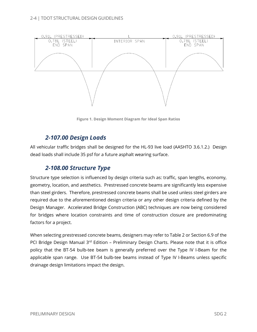

**Figure 1. Design Moment Diagram for Ideal Span Ratios**

### *2-107.00 Design Loads*

<span id="page-7-0"></span>All vehicular traffic bridges shall be designed for the HL-93 live load (AASHTO 3.6.1.2.) Design dead loads shall include 35 psf for a future asphalt wearing surface.

# *2-108.00 Structure Type*

<span id="page-7-1"></span>Structure type selection is influenced by design criteria such as: traffic, span lengths, economy, geometry, location, and aesthetics. Prestressed concrete beams are significantly less expensive than steel girders. Therefore, prestressed concrete beams shall be used unless steel girders are required due to the aforementioned design criteria or any other design criteria defined by the Design Manager. Accelerated Bridge Construction (ABC) techniques are now being considered for bridges where location constraints and time of construction closure are predominating factors for a project.

When selecting prestressed concrete beams, designers may refer to Table 2 or Section 6.9 of the PCI Bridge Design Manual 3<sup>rd</sup> Edition - Preliminary Design Charts. Please note that it is office policy that the BT-54 bulb-tee beam is generally preferred over the Type IV I-Beam for the applicable span range. Use BT-54 bulb-tee beams instead of Type IV I-Beams unless specific drainage design limitations impact the design.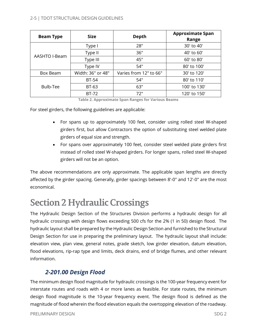#### 2-5 | TDOT STRUCTURAL DESIGN GUIDELINES

| <b>Beam Type</b> | <b>Size</b>                                 | <b>Depth</b> | <b>Approximate Span</b><br>Range |
|------------------|---------------------------------------------|--------------|----------------------------------|
|                  | Type I                                      | 28"          | 30' to 40'                       |
| AASHTO I-Beam    | Type II                                     | 36"          | 40' to 60'                       |
|                  | Type III                                    | 45"          | 60' to 80'                       |
|                  | Type IV                                     | 54"          | 80' to 100'                      |
| Box Beam         | Width: 36" or 48"<br>Varies from 12" to 66" |              | 30' to 120'                      |
|                  | <b>BT-54</b>                                | 54"          | 80' to 110'                      |
| Bulb-Tee         | BT-63                                       | 63"          | 100' to 130'                     |
|                  | BT-72                                       | 72"          | 120' to 150'                     |

**Table 2. Approximate Span Ranges for Various Beams**

For steel girders, the following guidelines are applicable:

- For spans up to approximately 100 feet, consider using rolled steel W-shaped girders first, but allow Contractors the option of substituting steel welded plate girders of equal size and strength.
- For spans over approximately 100 feet, consider steel welded plate girders first instead of rolled steel W-shaped girders. For longer spans, rolled steel W-shaped girders will not be an option.

The above recommendations are only approximate. The applicable span lengths are directly affected by the girder spacing. Generally, girder spacings between 8'-0" and 12'-0" are the most economical.

# <span id="page-8-0"></span>**Section 2 Hydraulic Crossings**

The Hydraulic Design Section of the Structures Division performs a hydraulic design for all hydraulic crossings with design flows exceeding 500 cfs for the 2% (1 in 50) design flood. The hydraulic layout shall be prepared by the Hydraulic Design Section and furnished to the Structural Design Section for use in preparing the preliminary layout. The hydraulic layout shall include: elevation view, plan view, general notes, grade sketch, low girder elevation, datum elevation, flood elevations, rip-rap type and limits, deck drains, end of bridge flumes, and other relevant information.

#### *2-201.00 Design Flood*

<span id="page-8-1"></span>The minimum design flood magnitude for hydraulic crossings is the 100-year frequency event for interstate routes and roads with 4 or more lanes as feasible. For state routes, the minimum design flood magnitude is the 10-year frequency event. The design flood is defined as the magnitude of flood wherein the flood elevation equals the overtopping elevation of the roadway.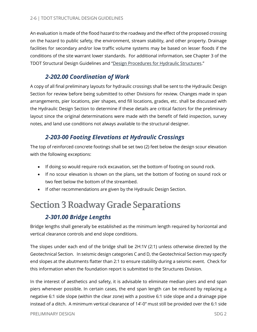An evaluation is made of the flood hazard to the roadway and the effect of the proposed crossing on the hazard to public safety, the environment, stream stability, and other property. Drainage facilities for secondary and/or low traffic volume systems may be based on lesser floods if the conditions of the site warrant lower standards. For additional information, see Chapter 3 of the TDOT Structural Design Guidelines and ["Design Procedures for Hydraulic Structures.](https://www.tn.gov/content/dam/tn/tdot/structures/hydraulic-design/thmall.pdf)"

### *2-202.00 Coordination of Work*

<span id="page-9-0"></span>A copy of all final preliminary layouts for hydraulic crossings shall be sent to the Hydraulic Design Section for review before being submitted to other Divisions for review. Changes made in span arrangements, pier locations, pier shapes, end fill locations, grades, etc. shall be discussed with the Hydraulic Design Section to determine if these details are critical factors for the preliminary layout since the original determinations were made with the benefit of field inspection, survey notes, and land use conditions not always available to the structural designer.

### *2-203-00 Footing Elevations at Hydraulic Crossings*

<span id="page-9-1"></span>The top of reinforced concrete footings shall be set two (2) feet below the design scour elevation with the following exceptions:

- If doing so would require rock excavation, set the bottom of footing on sound rock.
- If no scour elevation is shown on the plans, set the bottom of footing on sound rock or two feet below the bottom of the streambed.
- If other recommendations are given by the Hydraulic Design Section.

# <span id="page-9-2"></span>**Section 3 Roadway Grade Separations**

# *2-301.00 Bridge Lengths*

<span id="page-9-3"></span>Bridge lengths shall generally be established as the minimum length required by horizontal and vertical clearance controls and end slope conditions.

The slopes under each end of the bridge shall be 2H:1V (2:1) unless otherwise directed by the Geotechnical Section. In seismic design categories C and D, the Geotechnical Section may specify end slopes at the abutments flatter than 2:1 to ensure stability during a seismic event. Check for this information when the foundation report is submitted to the Structures Division.

In the interest of aesthetics and safety, it is advisable to eliminate median piers and end span piers whenever possible. In certain cases, the end span length can be reduced by replacing a negative 6:1 side slope (within the clear zone) with a positive 6:1 side slope and a drainage pipe instead of a ditch. A minimum vertical clearance of 14'-0" must still be provided over the 6:1 side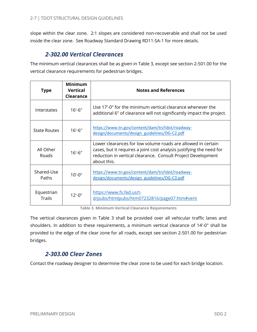slope within the clear zone. 2:1 slopes are considered non-recoverable and shall not be used inside the clear zone. See Roadway Standard Drawing RD11-SA-1 for more details.

#### *2-302.00 Vertical Clearances*

<span id="page-10-0"></span>The minimum vertical clearances shall be as given in Table 3, except see section 2-501.00 for the vertical clearance requirements for pedestrian bridges.

| <b>Type</b>                        | Minimum<br><b>Vertical</b><br>Clearance                                                                        | <b>Notes and References</b>                                                                                                                                                                                         |  |
|------------------------------------|----------------------------------------------------------------------------------------------------------------|---------------------------------------------------------------------------------------------------------------------------------------------------------------------------------------------------------------------|--|
| Interstates                        | $16' - 6''$                                                                                                    | Use 17'-0" for the minimum vertical clearance whenever the<br>additional 6" of clearance will not significantly impact the project.                                                                                 |  |
| <b>State Routes</b>                | $16' - 6''$                                                                                                    | https://www.tn.gov/content/dam/tn/tdot/roadway-<br>design/documents/design_guidelines/DG-C2.pdf                                                                                                                     |  |
| All Other<br>Roads                 | $16' - 6''$                                                                                                    | Lower clearances for low volume roads are allowed in certain<br>cases, but it requires a joint cost analysis justifying the need for<br>reduction in vertical clearance. Consult Project Development<br>about this. |  |
| Shared-Use<br>Paths                | https://www.tn.gov/content/dam/tn/tdot/roadway-<br>$10' - 0''$<br>design/documents/design_guidelines/DG-C3.pdf |                                                                                                                                                                                                                     |  |
| Equestrian<br>$12 - 0$ "<br>Trails |                                                                                                                | https://www.fs.fed.us/t-<br>d/pubs/htmlpubs/htm07232816/page07.htm#verti                                                                                                                                            |  |

**Table 3. Minimum Vertical Clearance Requirements**

The vertical clearances given in Table 3 shall be provided over all vehicular traffic lanes and shoulders. In addition to these requirements, a minimum vertical clearance of 14'-0" shall be provided to the edge of the clear zone for all roads, except see section 2-501.00 for pedestrian bridges.

### *2-303.00 Clear Zones*

<span id="page-10-2"></span><span id="page-10-1"></span>Contact the roadway designer to determine the clear zone to be used for each bridge location.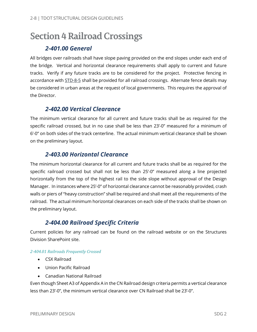# **Section 4 Railroad Crossings**

#### *2-401.00 General*

<span id="page-11-0"></span>All bridges over railroads shall have slope paving provided on the end slopes under each end of the bridge. Vertical and horizontal clearance requirements shall apply to current and future tracks. Verify if any future tracks are to be considered for the project. Protective fencing in accordance with [STD-8-5](https://www.tn.gov/content/dam/tn/tdot/roadway-design/documents/standard_drawings/structure_standard_drawings/current/new-structures/STD-8-5.pdf) shall be provided for all railroad crossings. Alternate fence details may be considered in urban areas at the request of local governments. This requires the approval of the Director.

#### *2-402.00 Vertical Clearance*

<span id="page-11-1"></span>The minimum vertical clearance for all current and future tracks shall be as required for the specific railroad crossed, but in no case shall be less than 23'-0" measured for a minimum of 6'-0" on both sides of the track centerline. The actual minimum vertical clearance shall be shown on the preliminary layout.

### *2-403.00 Horizontal Clearance*

<span id="page-11-2"></span>The minimum horizontal clearance for all current and future tracks shall be as required for the specific railroad crossed but shall not be less than 25'-0" measured along a line projected horizontally from the top of the highest rail to the side slope without approval of the Design Manager. In instances where 25'-0" of horizontal clearance cannot be reasonably provided, crash walls or piers of "heavy construction" shall be required and shall meet all the requirements of the railroad. The actual minimum horizontal clearances on each side of the tracks shall be shown on the preliminary layout.

### *2-404.00 Railroad Specific Criteria*

<span id="page-11-3"></span>Current policies for any railroad can be found on the railroad website or on the Structures Division SharePoint site.

#### <span id="page-11-4"></span>*2-404.01 Railroads Frequently Crossed*

- CSX Railroad
- Union Pacific Railroad
- Canadian National Railroad

Even though Sheet A3 of Appendix A in the CN Railroad design criteria permits a vertical clearance less than 23'-0", the minimum vertical clearance over CN Railroad shall be 23'-0".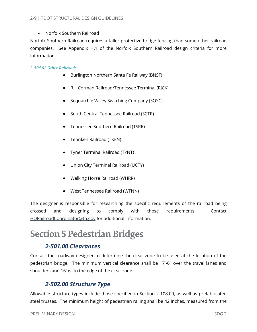• Norfolk Southern Railroad

Norfolk Southern Railroad requires a taller protective bridge fencing than some other railroad companies. See Appendix H.1 of the Norfolk Southern Railroad design criteria for more information.

#### <span id="page-12-0"></span>*2-404.02 Other Railroads*

- Burlington Northern Santa Fe Railway (BNSF)
- R.J. Corman Railroad/Tennessee Terminal (RJCK)
- Sequatchie Valley Switching Company (SQSC)
- South Central Tennessee Railroad (SCTR)
- Tennessee Southern Railroad (TSRR)
- Tennken Railroad (TKEN)
- Tyner Terminal Railroad (TYNT)
- Union City Terminal Railroad (UCTY)
- Walking Horse Railroad (WHRR)
- West Tennessee Railroad (WTNN)

The designer is responsible for researching the specific requirements of the railroad being crossed and designing to comply with those requirements. Contact [HQRailroadCoordinator@tn.gov](mailto:HQRailroadCoordinator@tn.gov) for additional information.

# <span id="page-12-1"></span>**Section 5 Pedestrian Bridges**

### *2-501.00 Clearances*

<span id="page-12-2"></span>Contact the roadway designer to determine the clear zone to be used at the location of the pedestrian bridge. The minimum vertical clearance shall be 17'-6" over the travel lanes and shoulders and 16'-6" to the edge of the clear zone.

### *2-502.00 Structure Type*

<span id="page-12-3"></span>Allowable structure types include those specified in Section 2-108.00, as well as prefabricated steel trusses. The minimum height of pedestrian railing shall be 42 inches, measured from the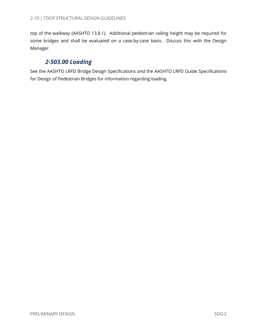top of the walkway (AASHTO 13.8.1). Additional pedestrian railing height may be required for some bridges and shall be evaluated on a case-by-case basis. Discuss this with the Design Manager.

### *2-503.00 Loading*

<span id="page-13-0"></span>See the AASHTO LRFD Bridge Design Specifications and the AASHTO LRFD Guide Specifications for Design of Pedestrian Bridges for information regarding loading.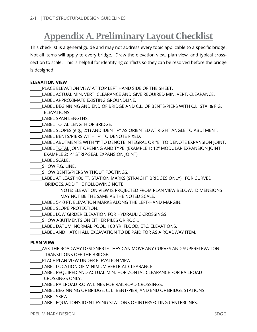# <span id="page-14-0"></span>**Appendix A. Preliminary Layout Checklist**

This checklist is a general guide and may not address every topic applicable to a specific bridge. Not all items will apply to every bridge. Draw the elevation view, plan view, and typical crosssection to scale. This is helpful for identifying conflicts so they can be resolved before the bridge is designed.

#### **ELEVATION VIEW**

- PLACE ELEVATION VIEW AT TOP LEFT HAND SIDE OF THE SHEET.
- \_\_\_\_\_\_LABEL ACTUAL MIN. VERT. CLEARANCE AND GIVE REQUIRED MIN. VERT. CLEARANCE.
- \_\_\_\_\_\_LABEL APPROXIMATE EXISTING GROUNDLINE.
- LABEL BEGINNING AND END OF BRIDGE AND C.L. OF BENTS/PIERS WITH C.L. STA. & F.G. ELEVATIONS
- \_\_\_\_\_\_LABEL SPAN LENGTHS.
- LABEL TOTAL LENGTH OF BRIDGE.
- \_\_\_\_\_\_LABEL SLOPES (e.g., 2:1) AND IDENTIFY AS ORIENTED AT RIGHT ANGLE TO ABUTMENT.
- LABEL BENTS/PIERS WITH "F" TO DENOTE FIXED.
- LABEL ABUTMENTS WITH "I" TO DENOTE INTEGRAL OR "E" TO DENOTE EXPANSION JOINT.
- \_\_\_\_\_\_LABEL TOTAL JOINT OPENING AND TYPE. (EXAMPLE 1: 12" MODULAR EXPANSION JOINT, EXAMPLE 2: 4" STRIP-SEAL EXPANSION JOINT)
- \_\_\_\_\_\_LABEL SCALE.
- \_\_\_\_\_\_SHOW F.G. LINE.
- SHOW BENTS/PIERS WITHOUT FOOTINGS.
- \_\_\_\_\_\_LABEL AT LEAST 100 FT. STATION MARKS (STRAIGHT BRIDGES ONLY). FOR CURVED BRIDGES, ADD THE FOLLOWING NOTE:
	- NOTE: ELEVATION VIEW IS PROJECTED FROM PLAN VIEW BELOW. DIMENSIONS MAY NOT BE THE SAME AS THE NOTED SCALE.
- \_\_\_\_\_\_LABEL 5-10 FT. ELEVATION MARKS ALONG THE LEFT-HAND MARGIN.
- LABEL SLOPE PROTECTION.
- \_\_\_\_\_\_LABEL LOW GIRDER ELEVATION FOR HYDRAULIC CROSSINGS.
- SHOW ABUTMENTS ON EITHER PILES OR ROCK.
- LABEL DATUM, NORMAL POOL, 100 YR. FLOOD, ETC. ELEVATIONS.
- \_\_\_\_\_\_LABEL AND HATCH ALL EXCAVATION TO BE PAID FOR AS A ROADWAY ITEM.

#### **PLAN VIEW**

- \_\_\_\_\_\_ASK THE ROADWAY DESIGNER IF THEY CAN MOVE ANY CURVES AND SUPERELEVATION TRANSITIONS OFF THE BRIDGE.
- PLACE PLAN VIEW UNDER ELEVATION VIEW.
- \_\_\_\_\_\_LABEL LOCATION OF MINIMUM VERTICAL CLEARANCE.
- \_\_\_\_\_\_LABEL REQUIRED AND ACTUAL MIN. HORIZONTAL CLEARANCE FOR RAILROAD CROSSINGS ONLY.
- LABEL RAILROAD R.O.W. LINES FOR RAILROAD CROSSINGS.
- \_\_\_\_\_\_LABEL BEGINNING OF BRIDGE, C. L. BENT/PIER, AND END OF BRIDGE STATIONS.
- \_\_\_\_\_\_LABEL SKEW.
- LABEL EQUATIONS IDENTIFYING STATIONS OF INTERSECTING CENTERLINES.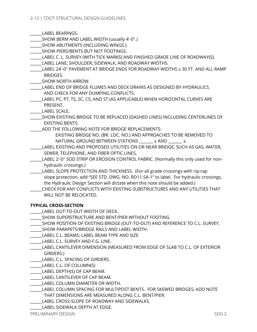\_\_\_\_\_\_LABEL BEARINGS.

- \_\_\_\_\_\_SHOW BERM AND LABEL WIDTH (usually 4'-0".)
- SHOW ABUTMENTS (INCLUDING WINGS.)
- \_\_\_\_\_\_SHOW PIERS/BENTS BUT NOT FOOTINGS.
- LABEL C. L. SURVEY (WITH TICK MARKS) AND FINISHED GRADE LINE OF ROADWAY(S).
- LABEL LANE, SHOULDER, SIDEWALK, AND ROADWAY WIDTHS.
- \_\_\_\_\_\_LABEL 24'-0" PAVEMENT AT BRIDGE ENDS FOR ROADWAY WIDTHS ≥ 30 FT. AND ALL RAMP BRIDGES.
- \_\_\_\_\_\_SHOW NORTH ARROW.
- \_\_\_\_\_\_LABEL END OF BRIDGE FLUMES AND DECK DRAINS AS DESIGNED BY HYDRAULICS. AND CHECK FOR ANY DUMPING CONFLICTS.
- \_\_\_\_\_\_LABEL PC, PT, TS, SC, CS, AND ST (AS APPLICABLE) WHEN HORIZONTAL CURVES ARE PRESENT.

\_\_\_\_\_\_LABEL SCALE.

- \_\_\_\_\_\_SHOW EXISTING BRIDGE TO BE REPLACED (DASHED LINES) INCLUDING CENTERLINES OF EXISTING BENTS.
- ADD THE FOLLOWING NOTE FOR BRIDGE REPLACEMENTS:

 EXISTING BRIDGE NO. (BR. LOC. NO.) AND APPROACHES TO BE REMOVED TO NATURAL GROUND BETWEEN STATIONS  $\qquad \qquad \pm$  AND  $\qquad \qquad \pm$ .

- \_\_\_\_\_\_LABEL EXISTING AND PROPOSED UTILITIES ON OR NEAR BRIDGE, SUCH AS GAS, WATER, SEWER, TELEPHONE, AND FIBER OPTIC LINES.
- \_\_\_\_\_\_LABEL 2'-0" SOD STRIP OR EROSION CONTROL FABRIC. (Normally this only used for non hydraulic crossings.)
- LABEL SLOPE PROTECTION AND THICKNESS. (For all grade crossings with rip-rap slope protection, add "SEE STD. DWG. NO. RD11-SA-1" to label. For hydraulic crossings, the Hydraulic Design Section will dictate when this note should be added.)
- \_\_\_\_\_\_CHECK FOR ANY CONFLICTS WITH EXISTING SUBSTRUCTURES AND ANY UTILITIES THAT WILL NOT BE RELOCATED.

#### **TYPICAL CROSS-SECTION**

- \_\_\_\_\_\_LABEL OUT-TO-OUT WIDTH OF DECK.
- SHOW SUPERSTRUCTURE AND BENT/PIER WITHOUT FOOTING.
- \_\_\_\_\_\_SHOW POSITION OF EXISTING BRIDGE (OUT-TO-OUT) AND REFERENCE TO C.L. SURVEY.
- \_\_\_\_\_\_SHOW PARAPETS/BRIDGE RAILS AND LABEL WIDTH.
- \_\_\_\_\_\_LABEL C.L. BEAMS; LABEL BEAM TYPE AND SIZE
- \_\_\_\_\_\_LABEL C.L. SURVEY AND F.G. LINE.
- \_\_\_\_\_\_LABEL CANTILEVER DIMENSION (MEASURED FROM EDGE OF SLAB TO C.L. OF EXTERIOR GIRDERS.)
- LABEL C.L. SPACING OF GIRDERS.
- \_\_\_\_\_\_LABEL C.L. OF COLUMN(S)
- \_\_\_\_\_\_LABEL DEPTH(S) OF CAP BEAM.
- \_\_\_\_\_\_LABEL CANTILEVER OF CAP BEAM.
- \_\_\_\_\_\_LABEL COLUMN DIAMETER OR WIDTH.
- \_\_\_\_\_\_LABEL COLUMN SPACING FOR MULTIPOST BENTS. FOR SKEWED BRIDGES, ADD NOTE
	- THAT DIMENSIONS ARE MEASURED ALONG C.L. BENT/PIER.
- \_\_\_\_\_\_LABEL CROSS-SLOPE OF ROADWAY AND SIDEWALKS.
	- \_\_\_\_\_\_LABEL SIDEWALK DEPTH AT EDGE.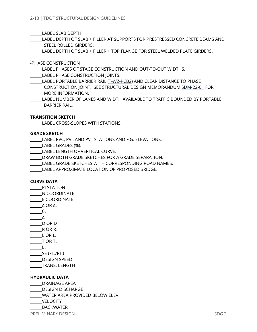\_\_\_\_\_\_LABEL SLAB DEPTH.

LABEL DEPTH OF SLAB + FILLER AT SUPPORTS FOR PRESTRESSED CONCRETE BEAMS AND STEEL ROLLED GIRDERS.

LABEL DEPTH OF SLAB + FILLER + TOP FLANGE FOR STEEL WELDED PLATE GIRDERS.

-PHASE CONSTRUCTION

LABEL PHASES OF STAGE CONSTRUCTION AND OUT-TO-OUT WIDTHS.

\_\_\_\_\_\_LABEL PHASE CONSTRUCTION JOINTS.

\_\_\_\_\_\_LABEL PORTABLE BARRIER RAIL [\(T-WZ-PCB2\)](https://www.tn.gov/content/dam/tn/tdot/roadway-design/documents/standard_drawings/roadway_standard_drawings/current/design---traffic-control/work-zones/TWZPCB2.pdf) AND CLEAR DISTANCE TO PHASE CONSTRUCTION JOINT. SEE STRUCTURAL DESIGN MEMORANDU[M SDM-22-01](https://www.tn.gov/content/dam/tn/tdot/structures/SDM-22-01-Use_of_Portable_Barrier_Rail_03072022.pdf) FOR MORE INFORMATION.

LABEL NUMBER OF LANES AND WIDTH AVAILABLE TO TRAFFIC BOUNDED BY PORTABLE BARRIER RAIL.

#### **TRANSITION SKETCH**

\_\_\_\_\_\_LABEL CROSS-SLOPES WITH STATIONS.

#### **GRADE SKETCH**

\_\_\_\_\_\_LABEL PVC, PVI, AND PVT STATIONS AND F.G. ELEVATIONS.

\_\_\_\_\_\_LABEL GRADES (%).

\_\_\_\_\_\_LABEL LENGTH OF VERTICAL CURVE.

DRAW BOTH GRADE SKETCHES FOR A GRADE SEPARATION.

\_\_\_\_\_\_LABEL GRADE SKETCHES WITH CORRESPONDING ROAD NAMES.

LABEL APPROXIMATE LOCATION OF PROPOSED BRIDGE.

#### **CURVE DATA**

- \_\_\_\_\_\_PI STATION
- \_\_\_\_\_\_N COORDINATE
- \_\_\_\_\_\_E COORDINATE
- $\triangle$  OR  $\Delta$ <sub>S</sub>
- $\_\_\theta$
- $\Delta_{\mathsf{c}}$
- $\Box$ D OR D<sub>c</sub>
- $R_{c}$ R OR R<sub>c</sub>
- $L$  OR  $L_c$
- $\overline{\phantom{a}}$  T OR T<sub>s</sub>  $\_\_\_\_\_\$
- $SE$  (FT./FT.)
- \_\_\_\_\_\_DESIGN SPEED
- 

\_\_\_\_\_\_TRANS. LENGTH

#### **HYDRAULIC DATA**

\_\_\_\_\_\_DRAINAGE AREA

\_\_\_\_\_\_DESIGN DISCHARGE

\_\_\_\_\_\_WATER AREA PROVIDED BELOW ELEV.

- \_\_\_\_\_\_VELOCITY
- $_{\rm BACKWATER}$

PRELIMINARY DESIGN SOG 2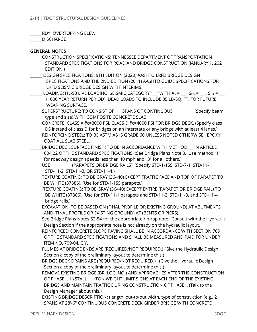\_\_\_\_\_\_RDY. OVERTOPPING ELEV.

\_\_\_\_\_\_DISCHARGE

#### **GENERAL NOTES**

- \_\_\_\_\_\_CONSTRUCTION SPECIFICATIONS: TENNESSEE DEPARTMENT OF TRANSPORTATION STANDARD SPECIFICATIONS FOR ROAD AND BRIDGE CONSTRUCTION (JANUARY 1, 2021 EDITION.)
- \_\_\_\_\_\_ DESIGN SPECIFICATIONS: 9TH EDITION (2020) AASHTO LRFD BRIDGE DESIGN SPECIFICATIONS AND THE 2ND EDITION (2011) AASHTO GUIDE SPECIFICATIONS FOR LRFD SEISMIC BRIDGE DESIGN WITH INTERIMS.
- $\Box$  LOADING: HL-93 LIVE LOADING; SEISMIC CATEGORY " $\Box$ " WITH As =  $\Box$ , S $_{\text{DS}}$  =  $\Box$ , S $_{\text{D1}}$  =  $\Box$  (1000 YEAR RETURN PERIOD); DEAD LOADS TO INCLUDE 35 LB/SQ. FT. FOR FUTURE WEARING SURFACE.
- \_\_\_\_\_\_SUPERSTRUCTURE: TO CONSIST OF \_\_\_ SPANS OF CONTINUOUS \_\_\_\_\_\_\_\_\_\_ (Specify beam type and size) WITH COMPOSITE CONCRETE SLAB.
- \_\_\_\_\_\_CONCRETE: CLASS A f'c=3000 PSI, CLASS D f'c=4000 PSI FOR BRIDGE DECK. (Specify class DS instead of class D for bridges on an interstate or any bridge with at least 4 lanes.)
- REINFORCING STEEL: TO BE ASTM A615 GRADE 60 UNLESS NOTED OTHERWISE. EPOXY COAT ALL SLAB STEEL.
- \_\_\_\_\_\_BRIDGE DECK SURFACE FINISH: TO BE IN ACCORDANCE WITH METHOD\_\_\_ IN ARTICLE 604.22 OF THE STANDARD SPECIFICATIONS. (See Bridge Plans Note 8. Use method "1" for roadway design speeds less than 40 mph and "3" for all others.)
- USE GRAAPETS OR BRIDGE RAILS). (Specify STD-1-1SS, STD-7-1, STD-11-1, STD-11-2, STD-11-3, OR STD-11-4.)
- \_\_\_\_\_\_TEXTURE COATING: TO BE GRAY (36440) EXCEPT TRAFFIC FACE AND TOP OF PARAPET TO BE WHITE (37886). (Use for STD-1-1SS parapets.)
- \_\_\_\_\_\_ TEXTURE COATING: TO BE GRAY (36440) EXCEPT ENTIRE (PARAPET OR BRIDGE RAIL) TO BE WHITE (37886). (Use for STD-11-1 parapets and STD-11-2, STD-11-3, and STD-11-4 bridge rails.)
- \_\_\_\_\_\_EXCAVATION: TO BE BASED ON (FINAL PROFILE OR EXISTING GROUND) AT ABUTMENTS AND (FINAL PROFILE OR EXISTING GROUND) AT (BENTS OR PIERS).
- See Bridge Plans Notes 52-54 for the appropriate rip-rap note. Consult with the Hydraulic Design Section if the appropriate note is not already on the hydraulic layout.
- \_\_\_\_\_\_REINFORCED CONCRETE SLOPE PAVING SHALL BE IN ACCORDANCE WITH SECTION 709 OF THE STANDARD SPECIFICATIONS AND SHALL BE MEASURED AND PAID FOR UNDER ITEM NO. 709-04, C.Y.
- \_\_\_\_\_\_FLUMES AT BRIDGE ENDS ARE (REQUIRED/NOT REQUIRED.) (Give the Hydraulic Design Section a copy of the preliminary layout to determine this.)
- BRIDGE DECK DRAINS ARE (REQUIRED/NOT REQUIRED.) (Give the Hydraulic Design Section a copy of the preliminary layout to determine this.)
- REMOVE EXISTING BRIDGE (BR. LOC. NO.) AND APPROACHES AFTER THE CONSTRUCTION OF PHASE I. INSTALL \_\_\_-TON WEIGHT LIMIT SIGNS AT EACH END OF THE EXISTING BRIDGE AND MAINTAIN TRAFFIC DURING CONSTRUCTION OF PHASE I. (Talk to the Design Manager about this.)
- \_\_\_\_\_\_EXISTING BRIDGE DESCRIPTION: (length, out-to-out width, type of construction (e.g., 2 SPANS AT 28'-6" CONTINUOUS CONCRETE DECK GIRDER BRIDGE WITH CONCRETE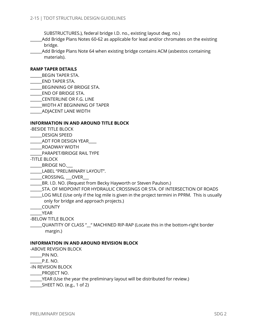SUBSTRUCTURES.), federal bridge I.D. no., existing layout dwg. no.)

\_\_\_\_\_\_Add Bridge Plans Notes 60-62 as applicable for lead and/or chromates on the existing bridge.

Add Bridge Plans Note 64 when existing bridge contains ACM (asbestos containing materials).

#### **RAMP TAPER DETAILS**

- \_\_\_\_\_\_BEGIN TAPER STA.
- \_\_\_\_\_\_END TAPER STA.
- \_\_\_\_\_\_BEGINNING OF BRIDGE STA.
- END OF BRIDGE STA.
- \_\_\_\_\_\_CENTERLINE OR F.G. LINE
- \_\_\_\_\_\_WIDTH AT BEGINNING OF TAPER
- \_\_\_\_\_\_ADJACENT LANE WIDTH

#### **INFORMATION IN AND AROUND TITLE BLOCK**

- -BESIDE TITLE BLOCK
- \_\_\_\_\_\_DESIGN SPEED
- \_\_\_\_\_\_ADT FOR DESIGN YEAR\_\_\_\_
- \_\_\_\_\_\_ROADWAY WIDTH

PARAPET/BRIDGE RAIL TYPE

- -TITLE BLOCK
- \_\_\_\_\_\_BRIDGE NO.\_\_\_
- \_\_\_\_\_\_LABEL "PRELIMINARY LAYOUT".
- \_\_\_\_\_\_CROSSING, \_\_\_OVER\_\_\_
- \_\_\_\_\_\_BR. I.D. NO. (Request from Becky Hayworth or Steven Paulson.)
- \_\_\_\_\_\_STA. OF MIDPOINT FOR HYDRAULIC CROSSINGS OR STA. OF INTERSECTION OF ROADS
- \_\_\_\_\_\_LOG MILE (Use only if the log mile is given in the project termini in PPRM. This is usually only for bridge and approach projects.)
- \_\_\_\_\_\_COUNTY

\_\_\_\_\_\_YEAR

- -BELOW TITLE BLOCK
- \_\_\_\_\_\_QUANTITY OF CLASS "\_\_" MACHINED RIP-RAP (Locate this in the bottom-right border margin.)

#### **INFORMATION IN AND AROUND REVISION BLOCK**

-ABOVE REVISION BLOCK

\_\_\_\_\_\_PIN NO.

\_\_\_\_\_\_P.E. NO.

-IN REVISION BLOCK

\_\_\_\_\_\_PROJECT NO.

- \_\_\_\_\_\_YEAR (Use the year the preliminary layout will be distributed for review.)
- $\Box$  SHEET NO. (e.g., 1 of 2)